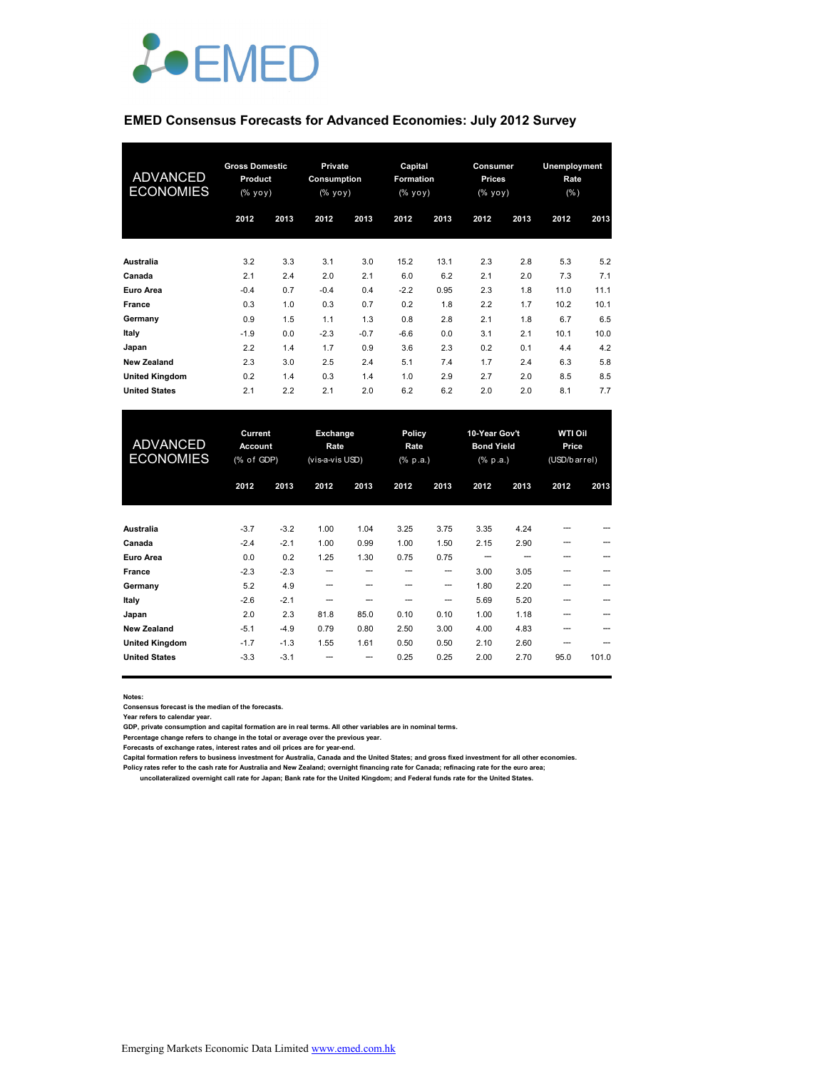

#### **EMED Consensus Forecasts for Advanced Economies: July 2012 Survey**

| <b>ADVANCED</b><br><b>ECONOMIES</b> | <b>Gross Domestic</b><br>Product<br>$(\% \text{ yoy})$ |      | <b>Private</b><br>Consumption<br>$(% \mathbf{y}\mathbf{y})$ (% $\mathbf{y}\mathbf{0}\mathbf{y}$ ) |        | Capital<br>Formation<br>$(\% \text{ yoy})$ |      | Consumer<br><b>Prices</b><br>$(%$ yoy) |      | <b>Unemployment</b><br>Rate<br>(% ) |      |
|-------------------------------------|--------------------------------------------------------|------|---------------------------------------------------------------------------------------------------|--------|--------------------------------------------|------|----------------------------------------|------|-------------------------------------|------|
|                                     | 2012                                                   | 2013 | 2012                                                                                              | 2013   | 2012                                       | 2013 | 2012                                   | 2013 | 2012                                | 2013 |
| Australia                           | 3.2                                                    | 3.3  | 3.1                                                                                               | 3.0    | 15.2                                       | 13.1 | 2.3                                    | 2.8  | 5.3                                 | 5.2  |
| Canada                              | 2.1                                                    | 2.4  | 2.0                                                                                               | 2.1    | 6.0                                        | 6.2  | 2.1                                    | 2.0  | 7.3                                 | 7.1  |
| Euro Area                           | $-0.4$                                                 | 0.7  | $-0.4$                                                                                            | 0.4    | $-2.2$                                     | 0.95 | 2.3                                    | 1.8  | 11.0                                | 11.1 |
| France                              | 0.3                                                    | 1.0  | 0.3                                                                                               | 0.7    | 0.2                                        | 1.8  | 2.2                                    | 1.7  | 10.2                                | 10.1 |
| Germany                             | 0.9                                                    | 1.5  | 1.1                                                                                               | 1.3    | 0.8                                        | 2.8  | 2.1                                    | 1.8  | 6.7                                 | 6.5  |
| Italy                               | $-1.9$                                                 | 0.0  | $-2.3$                                                                                            | $-0.7$ | $-6.6$                                     | 0.0  | 3.1                                    | 2.1  | 10.1                                | 10.0 |
| Japan                               | 2.2                                                    | 1.4  | 1.7                                                                                               | 0.9    | 3.6                                        | 2.3  | 0.2                                    | 0.1  | 4.4                                 | 4.2  |
| <b>New Zealand</b>                  | 2.3                                                    | 3.0  | 2.5                                                                                               | 2.4    | 5.1                                        | 7.4  | 1.7                                    | 2.4  | 6.3                                 | 5.8  |
| <b>United Kingdom</b>               | 0.2                                                    | 1.4  | 0.3                                                                                               | 1.4    | 1.0                                        | 2.9  | 2.7                                    | 2.0  | 8.5                                 | 8.5  |
| <b>United States</b>                | 2.1                                                    | 2.2  | 2.1                                                                                               | 2.0    | 6.2                                        | 6.2  | 2.0                                    | 2.0  | 8.1                                 | 7.7  |

| <b>ADVANCED</b><br><b>ECONOMIES</b> | Current<br>Account<br>(% of GDP) |        | Exchange<br>Rate<br>(vis-a-vis USD) |      | <b>Policy</b><br>Rate<br>$(% \mathbf{a})$ (% p.a.) |       | 10-Year Gov't<br><b>Bond Yield</b><br>$(% \mathbb{R}^2)$ (% p.a.) |      | <b>WTI Oil</b><br>Price<br>(USD/barrel) |       |
|-------------------------------------|----------------------------------|--------|-------------------------------------|------|----------------------------------------------------|-------|-------------------------------------------------------------------|------|-----------------------------------------|-------|
|                                     | 2012                             | 2013   | 2012                                | 2013 | 2012                                               | 2013  | 2012                                                              | 2013 | 2012                                    | 2013  |
| Australia                           | $-3.7$                           | $-3.2$ | 1.00                                | 1.04 | 3.25                                               | 3.75  | 3.35                                                              | 4.24 |                                         |       |
| Canada                              | $-2.4$                           | $-2.1$ | 1.00                                | 0.99 | 1.00                                               | 1.50  | 2.15                                                              | 2.90 | ---                                     |       |
| Euro Area                           | 0.0                              | 0.2    | 1.25                                | 1.30 | 0.75                                               | 0.75  |                                                                   |      |                                         |       |
| France                              | $-2.3$                           | $-2.3$ | --                                  | ---  | --                                                 | $- -$ | 3.00                                                              | 3.05 | ---                                     |       |
| Germany                             | 5.2                              | 4.9    | ---                                 |      |                                                    | ---   | 1.80                                                              | 2.20 |                                         |       |
| Italy                               | $-2.6$                           | $-2.1$ | --                                  |      |                                                    | --    | 5.69                                                              | 5.20 | ---                                     |       |
| Japan                               | 2.0                              | 2.3    | 81.8                                | 85.0 | 0.10                                               | 0.10  | 1.00                                                              | 1.18 |                                         |       |
| <b>New Zealand</b>                  | $-5.1$                           | $-4.9$ | 0.79                                | 0.80 | 2.50                                               | 3.00  | 4.00                                                              | 4.83 |                                         |       |
| <b>United Kingdom</b>               | $-1.7$                           | $-1.3$ | 1.55                                | 1.61 | 0.50                                               | 0.50  | 2.10                                                              | 2.60 | ---                                     |       |
| <b>United States</b>                | $-3.3$                           | $-3.1$ |                                     | ---  | 0.25                                               | 0.25  | 2.00                                                              | 2.70 | 95.0                                    | 101.0 |

**Notes:** 

**Consensus forecast is the median of the forecasts.**

**Year refers to calendar year.**

**GDP, private consumption and capital formation are in real terms. All other variables are in nominal terms.**

**Percentage change refers to change in the total or average over the previous year.**

**Forecasts of exchange rates, interest rates and oil prices are for year-end.**

Capital formation refers to business investment for Australia, Canada and the United States; and gross fixed investment for all other economies.<br>Policy rates refer to the cash rate for Australia and New Zealand; overnight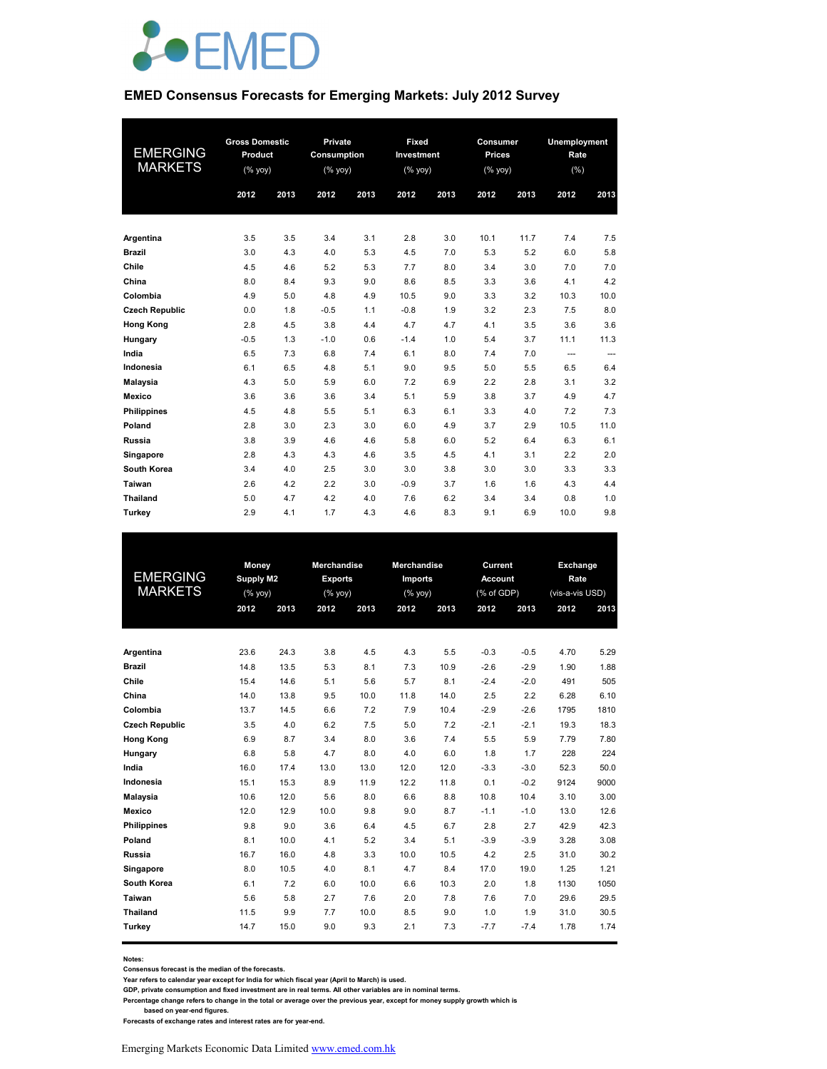

#### **EMED Consensus Forecasts for Emerging Markets: July 2012 Survey**

| <b>EMERGING</b><br><b>MARKETS</b> | <b>Gross Domestic</b><br>Product<br>$(% \mathsf{Y}^{\prime }\mathsf{Y}^{\prime }\mathsf{Y}^{\prime })$ |      | Private<br><b>Consumption</b><br>(% yoy) |      | Fixed<br>Investment<br>(% |      | Consumer<br><b>Prices</b><br>(% yoy) |      | <b>Unemployment</b><br>Rate<br>(%) |      |
|-----------------------------------|--------------------------------------------------------------------------------------------------------|------|------------------------------------------|------|---------------------------|------|--------------------------------------|------|------------------------------------|------|
|                                   | 2012                                                                                                   | 2013 | 2012                                     | 2013 | 2012                      | 2013 | 2012                                 | 2013 | 2012                               | 2013 |
|                                   |                                                                                                        |      |                                          |      |                           |      |                                      |      |                                    |      |
| Argentina                         | 3.5                                                                                                    | 3.5  | 3.4                                      | 3.1  | 2.8                       | 3.0  | 10.1                                 | 11.7 | 7.4                                | 7.5  |
| <b>Brazil</b>                     | 3.0                                                                                                    | 4.3  | 4.0                                      | 5.3  | 4.5                       | 7.0  | 5.3                                  | 5.2  | 6.0                                | 5.8  |
| Chile                             | 4.5                                                                                                    | 4.6  | 5.2                                      | 5.3  | 7.7                       | 8.0  | 3.4                                  | 3.0  | 7.0                                | 7.0  |
| China                             | 8.0                                                                                                    | 8.4  | 9.3                                      | 9.0  | 8.6                       | 8.5  | 3.3                                  | 3.6  | 4.1                                | 4.2  |
| Colombia                          | 4.9                                                                                                    | 5.0  | 4.8                                      | 4.9  | 10.5                      | 9.0  | 3.3                                  | 3.2  | 10.3                               | 10.0 |
| <b>Czech Republic</b>             | 0.0                                                                                                    | 1.8  | $-0.5$                                   | 1.1  | $-0.8$                    | 1.9  | 3.2                                  | 2.3  | 7.5                                | 8.0  |
| <b>Hong Kong</b>                  | 2.8                                                                                                    | 4.5  | 3.8                                      | 4.4  | 4.7                       | 4.7  | 4.1                                  | 3.5  | 3.6                                | 3.6  |
| Hungary                           | $-0.5$                                                                                                 | 1.3  | $-1.0$                                   | 0.6  | $-1.4$                    | 1.0  | 5.4                                  | 3.7  | 11.1                               | 11.3 |
| India                             | 6.5                                                                                                    | 7.3  | 6.8                                      | 7.4  | 6.1                       | 8.0  | 7.4                                  | 7.0  | $\cdots$                           | ---  |
| Indonesia                         | 6.1                                                                                                    | 6.5  | 4.8                                      | 5.1  | 9.0                       | 9.5  | 5.0                                  | 5.5  | 6.5                                | 6.4  |
| <b>Malaysia</b>                   | 4.3                                                                                                    | 5.0  | 5.9                                      | 6.0  | 7.2                       | 6.9  | 2.2                                  | 2.8  | 3.1                                | 3.2  |
| Mexico                            | 3.6                                                                                                    | 3.6  | 3.6                                      | 3.4  | 5.1                       | 5.9  | 3.8                                  | 3.7  | 4.9                                | 4.7  |
| <b>Philippines</b>                | 4.5                                                                                                    | 4.8  | 5.5                                      | 5.1  | 6.3                       | 6.1  | 3.3                                  | 4.0  | 7.2                                | 7.3  |
| Poland                            | 2.8                                                                                                    | 3.0  | 2.3                                      | 3.0  | 6.0                       | 4.9  | 3.7                                  | 2.9  | 10.5                               | 11.0 |
| Russia                            | 3.8                                                                                                    | 3.9  | 4.6                                      | 4.6  | 5.8                       | 6.0  | 5.2                                  | 6.4  | 6.3                                | 6.1  |
| Singapore                         | 2.8                                                                                                    | 4.3  | 4.3                                      | 4.6  | 3.5                       | 4.5  | 4.1                                  | 3.1  | 2.2                                | 2.0  |
| South Korea                       | 3.4                                                                                                    | 4.0  | 2.5                                      | 3.0  | 3.0                       | 3.8  | 3.0                                  | 3.0  | 3.3                                | 3.3  |
| Taiwan                            | 2.6                                                                                                    | 4.2  | 2.2                                      | 3.0  | $-0.9$                    | 3.7  | 1.6                                  | 1.6  | 4.3                                | 4.4  |
| Thailand                          | 5.0                                                                                                    | 4.7  | 4.2                                      | 4.0  | 7.6                       | 6.2  | 3.4                                  | 3.4  | 0.8                                | 1.0  |
| Turkey                            | 2.9                                                                                                    | 4.1  | 1.7                                      | 4.3  | 4.6                       | 8.3  | 9.1                                  | 6.9  | 10.0                               | 9.8  |

|                       | Money            |      | <b>Merchandise</b> |      | <b>Merchandise</b> |      | Current        |        | Exchange        |      |
|-----------------------|------------------|------|--------------------|------|--------------------|------|----------------|--------|-----------------|------|
| <b>EMERGING</b>       | <b>Supply M2</b> |      | <b>Exports</b>     |      | <b>Imports</b>     |      | <b>Account</b> |        | Rate            |      |
| <b>MARKETS</b>        | (% yoy)          |      | (% yoy)            |      | (%                 |      | (% of GDP)     |        | (vis-a-vis USD) |      |
|                       | 2012             | 2013 | 2012               | 2013 | 2012               | 2013 | 2012           | 2013   | 2012            | 2013 |
|                       |                  |      |                    |      |                    |      |                |        |                 |      |
| Argentina             | 23.6             | 24.3 | 3.8                | 4.5  | 4.3                | 5.5  | $-0.3$         | $-0.5$ | 4.70            | 5.29 |
| <b>Brazil</b>         | 14.8             | 13.5 | 5.3                | 8.1  | 7.3                | 10.9 | $-2.6$         | $-2.9$ | 1.90            | 1.88 |
| Chile                 | 15.4             | 14.6 | 5.1                | 5.6  | 5.7                | 8.1  | $-2.4$         | $-2.0$ | 491             | 505  |
| China                 | 14.0             | 13.8 | 9.5                | 10.0 | 11.8               | 14.0 | 2.5            | 2.2    | 6.28            | 6.10 |
| Colombia              | 13.7             | 14.5 | 6.6                | 7.2  | 7.9                | 10.4 | $-2.9$         | $-2.6$ | 1795            | 1810 |
| <b>Czech Republic</b> | 3.5              | 4.0  | 6.2                | 7.5  | 5.0                | 7.2  | $-2.1$         | $-2.1$ | 19.3            | 18.3 |
| <b>Hong Kong</b>      | 6.9              | 8.7  | 3.4                | 8.0  | 3.6                | 7.4  | 5.5            | 5.9    | 7.79            | 7.80 |
| Hungary               | 6.8              | 5.8  | 4.7                | 8.0  | 4.0                | 6.0  | 1.8            | 1.7    | 228             | 224  |
| India                 | 16.0             | 17.4 | 13.0               | 13.0 | 12.0               | 12.0 | $-3.3$         | $-3.0$ | 52.3            | 50.0 |
| Indonesia             | 15.1             | 15.3 | 8.9                | 11.9 | 12.2               | 11.8 | 0.1            | $-0.2$ | 9124            | 9000 |
| <b>Malaysia</b>       | 10.6             | 12.0 | 5.6                | 8.0  | 6.6                | 8.8  | 10.8           | 10.4   | 3.10            | 3.00 |
| Mexico                | 12.0             | 12.9 | 10.0               | 9.8  | 9.0                | 8.7  | $-1.1$         | $-1.0$ | 13.0            | 12.6 |
| <b>Philippines</b>    | 9.8              | 9.0  | 3.6                | 6.4  | 4.5                | 6.7  | 2.8            | 2.7    | 42.9            | 42.3 |
| Poland                | 8.1              | 10.0 | 4.1                | 5.2  | 3.4                | 5.1  | $-3.9$         | $-3.9$ | 3.28            | 3.08 |
| Russia                | 16.7             | 16.0 | 4.8                | 3.3  | 10.0               | 10.5 | 4.2            | 2.5    | 31.0            | 30.2 |
| Singapore             | 8.0              | 10.5 | 4.0                | 8.1  | 4.7                | 8.4  | 17.0           | 19.0   | 1.25            | 1.21 |
| South Korea           | 6.1              | 7.2  | 6.0                | 10.0 | 6.6                | 10.3 | 2.0            | 1.8    | 1130            | 1050 |
| Taiwan                | 5.6              | 5.8  | 2.7                | 7.6  | 2.0                | 7.8  | 7.6            | 7.0    | 29.6            | 29.5 |
| <b>Thailand</b>       | 11.5             | 9.9  | 7.7                | 10.0 | 8.5                | 9.0  | 1.0            | 1.9    | 31.0            | 30.5 |
| Turkey                | 14.7             | 15.0 | 9.0                | 9.3  | 2.1                | 7.3  | $-7.7$         | $-7.4$ | 1.78            | 1.74 |

**Notes:** 

**Consensus forecast is the median of the forecasts.**

**Year refers to calendar year except for India for which fiscal year (April to March) is used.**

**GDP, private consumption and fixed investment are in real terms. All other variables are in nominal terms.**

**Percentage change refers to change in the total or average over the previous year, except for money supply growth which is** 

 **based on year-end figures. Forecasts of exchange rates and interest rates are for year-end.**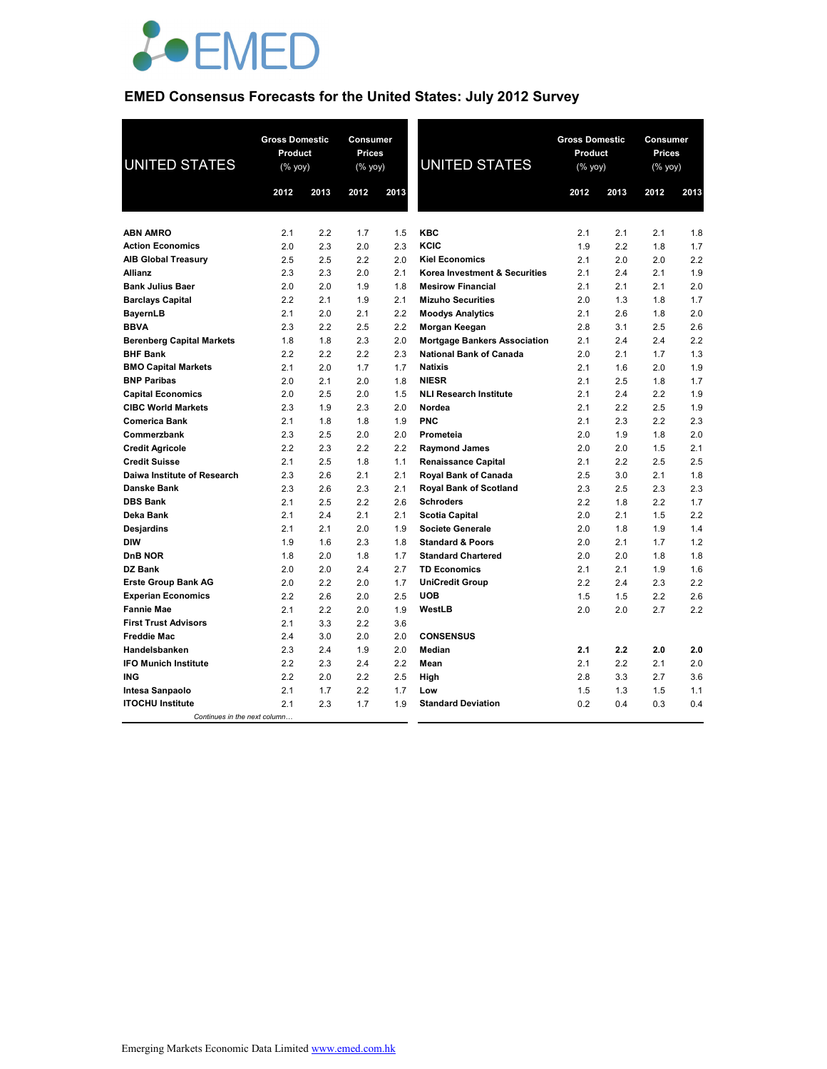

# **EMED Consensus Forecasts for the United States: July 2012 Survey**

| <b>UNITED STATES</b>             | <b>Gross Domestic</b><br>Product<br>(% yoy) |      | <b>Consumer</b><br><b>Prices</b><br>(% yoy) |      | <b>UNITED STATES</b>                | <b>Gross Domestic</b><br>Product<br>$(%$ yoy) |      | Consumer<br><b>Prices</b><br>(% yoy) |      |
|----------------------------------|---------------------------------------------|------|---------------------------------------------|------|-------------------------------------|-----------------------------------------------|------|--------------------------------------|------|
|                                  | 2012                                        | 2013 | 2012                                        | 2013 |                                     | 2012                                          | 2013 | 2012                                 | 2013 |
|                                  |                                             |      |                                             |      |                                     |                                               |      |                                      |      |
| <b>ABN AMRO</b>                  | 2.1                                         | 2.2  | 1.7                                         | 1.5  | <b>KBC</b>                          | 2.1                                           | 2.1  | 2.1                                  | 1.8  |
| <b>Action Economics</b>          | 2.0                                         | 2.3  | 2.0                                         | 2.3  | KCIC                                | 1.9                                           | 2.2  | 1.8                                  | 1.7  |
| <b>AIB Global Treasury</b>       | 2.5                                         | 2.5  | 2.2                                         | 2.0  | <b>Kiel Economics</b>               | 2.1                                           | 2.0  | 2.0                                  | 2.2  |
| Allianz                          | 2.3                                         | 2.3  | 2.0                                         | 2.1  | Korea Investment & Securities       | 2.1                                           | 2.4  | 2.1                                  | 1.9  |
| <b>Bank Julius Baer</b>          | 2.0                                         | 2.0  | 1.9                                         | 1.8  | <b>Mesirow Financial</b>            | 2.1                                           | 2.1  | 2.1                                  | 2.0  |
| <b>Barclays Capital</b>          | 2.2                                         | 2.1  | 1.9                                         | 2.1  | <b>Mizuho Securities</b>            | 2.0                                           | 1.3  | 1.8                                  | 1.7  |
| <b>BayernLB</b>                  | 2.1                                         | 2.0  | 2.1                                         | 2.2  | <b>Moodys Analytics</b>             | 2.1                                           | 2.6  | 1.8                                  | 2.0  |
| <b>BBVA</b>                      | 2.3                                         | 2.2  | 2.5                                         | 2.2  | Morgan Keegan                       | 2.8                                           | 3.1  | 2.5                                  | 2.6  |
| <b>Berenberg Capital Markets</b> | 1.8                                         | 1.8  | 2.3                                         | 2.0  | <b>Mortgage Bankers Association</b> | 2.1                                           | 2.4  | 2.4                                  | 2.2  |
| <b>BHF Bank</b>                  | 2.2                                         | 2.2  | 2.2                                         | 2.3  | <b>National Bank of Canada</b>      | 2.0                                           | 2.1  | 1.7                                  | 1.3  |
| <b>BMO Capital Markets</b>       | 2.1                                         | 2.0  | 1.7                                         | 1.7  | <b>Natixis</b>                      | 2.1                                           | 1.6  | 2.0                                  | 1.9  |
| <b>BNP Paribas</b>               | 2.0                                         | 2.1  | 2.0                                         | 1.8  | <b>NIESR</b>                        | 2.1                                           | 2.5  | 1.8                                  | 1.7  |
| <b>Capital Economics</b>         | 2.0                                         | 2.5  | 2.0                                         | 1.5  | <b>NLI Research Institute</b>       | 2.1                                           | 2.4  | 2.2                                  | 1.9  |
| <b>CIBC World Markets</b>        | 2.3                                         | 1.9  | 2.3                                         | 2.0  | Nordea                              | 2.1                                           | 2.2  | 2.5                                  | 1.9  |
| <b>Comerica Bank</b>             | 2.1                                         | 1.8  | 1.8                                         | 1.9  | <b>PNC</b>                          | 2.1                                           | 2.3  | 2.2                                  | 2.3  |
| Commerzbank                      | 2.3                                         | 2.5  | 2.0                                         | 2.0  | Prometeia                           | 2.0                                           | 1.9  | 1.8                                  | 2.0  |
| <b>Credit Agricole</b>           | 2.2                                         | 2.3  | 2.2                                         | 2.2  | <b>Raymond James</b>                | 2.0                                           | 2.0  | 1.5                                  | 2.1  |
| <b>Credit Suisse</b>             | 2.1                                         | 2.5  | 1.8                                         | 1.1  | <b>Renaissance Capital</b>          | 2.1                                           | 2.2  | 2.5                                  | 2.5  |
| Daiwa Institute of Research      | 2.3                                         | 2.6  | 2.1                                         | 2.1  | <b>Royal Bank of Canada</b>         | 2.5                                           | 3.0  | 2.1                                  | 1.8  |
| Danske Bank                      | 2.3                                         | 2.6  | 2.3                                         | 2.1  | <b>Royal Bank of Scotland</b>       | 2.3                                           | 2.5  | 2.3                                  | 2.3  |
| <b>DBS Bank</b>                  | 2.1                                         | 2.5  | 2.2                                         | 2.6  | <b>Schroders</b>                    | 2.2                                           | 1.8  | 2.2                                  | 1.7  |
| Deka Bank                        | 2.1                                         | 2.4  | 2.1                                         | 2.1  | <b>Scotia Capital</b>               | 2.0                                           | 2.1  | 1.5                                  | 2.2  |
| Desjardins                       | 2.1                                         | 2.1  | 2.0                                         | 1.9  | <b>Societe Generale</b>             | 2.0                                           | 1.8  | 1.9                                  | 1.4  |
| <b>DIW</b>                       | 1.9                                         | 1.6  | 2.3                                         | 1.8  | <b>Standard &amp; Poors</b>         | 2.0                                           | 2.1  | 1.7                                  | 1.2  |
| <b>DnB NOR</b>                   | 1.8                                         | 2.0  | 1.8                                         | 1.7  | <b>Standard Chartered</b>           | 2.0                                           | 2.0  | 1.8                                  | 1.8  |
| DZ Bank                          | 2.0                                         | 2.0  | 2.4                                         | 2.7  | <b>TD Economics</b>                 | 2.1                                           | 2.1  | 1.9                                  | 1.6  |
| <b>Erste Group Bank AG</b>       | 2.0                                         | 2.2  | 2.0                                         | 1.7  | <b>UniCredit Group</b>              | 2.2                                           | 2.4  | 2.3                                  | 2.2  |
| <b>Experian Economics</b>        | 2.2                                         | 2.6  | 2.0                                         | 2.5  | <b>UOB</b>                          | 1.5                                           | 1.5  | 2.2                                  | 2.6  |
| <b>Fannie Mae</b>                | 2.1                                         | 2.2  | 2.0                                         | 1.9  | WestLB                              | 2.0                                           | 2.0  | 2.7                                  | 2.2  |
| <b>First Trust Advisors</b>      | 2.1                                         | 3.3  | 2.2                                         | 3.6  |                                     |                                               |      |                                      |      |
| <b>Freddie Mac</b>               | 2.4                                         | 3.0  | 2.0                                         | 2.0  | <b>CONSENSUS</b>                    |                                               |      |                                      |      |
| Handelsbanken                    | 2.3                                         | 2.4  | 1.9                                         | 2.0  | Median                              | 2.1                                           | 2.2  | 2.0                                  | 2.0  |
| <b>IFO Munich Institute</b>      | 2.2                                         | 2.3  | 2.4                                         | 2.2  | Mean                                | 2.1                                           | 2.2  | 2.1                                  | 2.0  |
| ING                              | 2.2                                         | 2.0  | 2.2                                         | 2.5  | High                                | 2.8                                           | 3.3  | 2.7                                  | 3.6  |
| Intesa Sanpaolo                  | 2.1                                         | 1.7  | 2.2                                         | 1.7  | Low                                 | 1.5                                           | 1.3  | 1.5                                  | 1.1  |
| <b>ITOCHU Institute</b>          | 2.1                                         | 2.3  | 1.7                                         | 1.9  | <b>Standard Deviation</b>           | 0.2                                           | 0.4  | 0.3                                  | 0.4  |
| Continues in the next column     |                                             |      |                                             |      |                                     |                                               |      |                                      |      |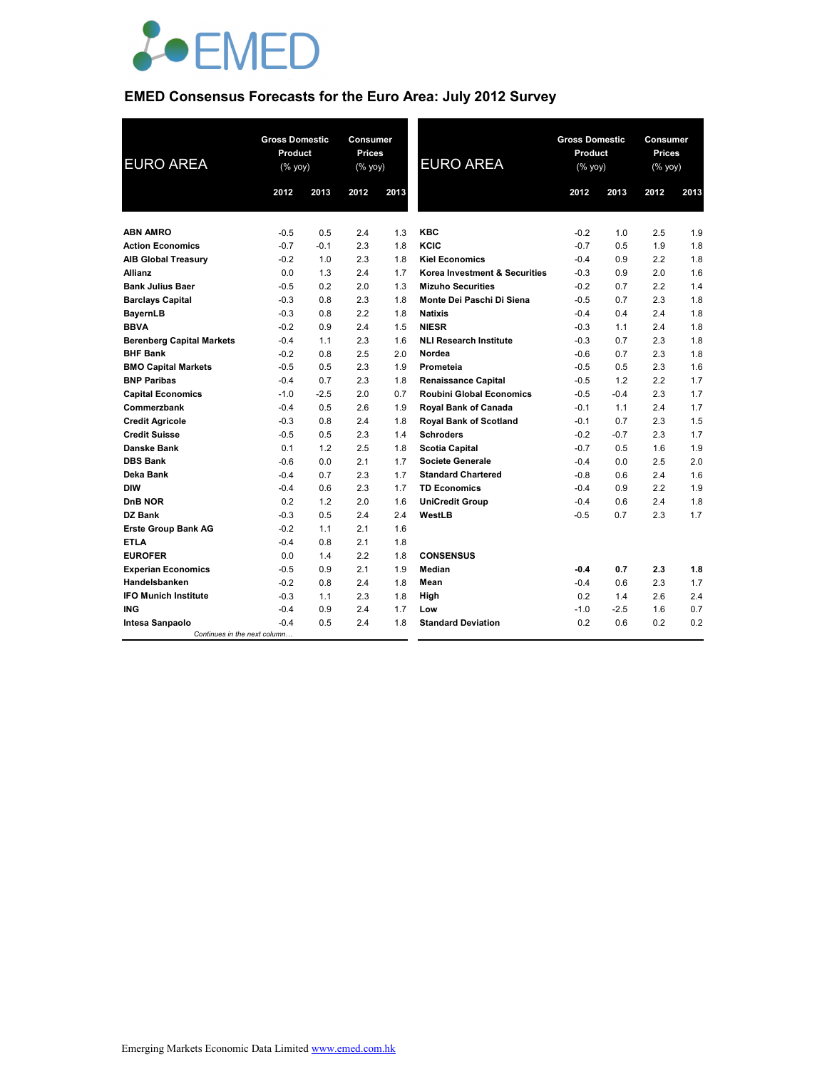

# **EMED Consensus Forecasts for the Euro Area: July 2012 Survey**

| <b>EURO AREA</b>                 | <b>Gross Domestic</b><br>Product<br>(% yoy) |        | <b>Consumer</b><br><b>Gross Domestic</b><br><b>Prices</b><br>Product<br><b>EURO AREA</b><br>(% yoy)<br>(% yoy) |      |                                 | Consumer<br><b>Prices</b><br>$(% \mathsf{Y}^{\prime }\mathsf{Y}^{\prime }\mathsf{Y}^{\prime })$ |        |      |      |
|----------------------------------|---------------------------------------------|--------|----------------------------------------------------------------------------------------------------------------|------|---------------------------------|-------------------------------------------------------------------------------------------------|--------|------|------|
|                                  | 2012                                        | 2013   | 2012                                                                                                           | 2013 |                                 | 2012                                                                                            | 2013   | 2012 | 2013 |
|                                  |                                             |        |                                                                                                                |      |                                 |                                                                                                 |        |      |      |
| <b>ABN AMRO</b>                  | $-0.5$                                      | 0.5    | 2.4                                                                                                            | 1.3  | <b>KBC</b>                      | $-0.2$                                                                                          | 1.0    | 2.5  | 1.9  |
| <b>Action Economics</b>          | $-0.7$                                      | $-0.1$ | 2.3                                                                                                            | 1.8  | KCIC                            | $-0.7$                                                                                          | 0.5    | 1.9  | 1.8  |
| <b>AIB Global Treasury</b>       | $-0.2$                                      | 1.0    | 2.3                                                                                                            | 1.8  | <b>Kiel Economics</b>           | $-0.4$                                                                                          | 0.9    | 2.2  | 1.8  |
| <b>Allianz</b>                   | 0.0                                         | 1.3    | 2.4                                                                                                            | 1.7  | Korea Investment & Securities   | $-0.3$                                                                                          | 0.9    | 2.0  | 1.6  |
| <b>Bank Julius Baer</b>          | $-0.5$                                      | 0.2    | 2.0                                                                                                            | 1.3  | <b>Mizuho Securities</b>        | $-0.2$                                                                                          | 0.7    | 2.2  | 1.4  |
| <b>Barclays Capital</b>          | $-0.3$                                      | 0.8    | 2.3                                                                                                            | 1.8  | Monte Dei Paschi Di Siena       | $-0.5$                                                                                          | 0.7    | 2.3  | 1.8  |
| <b>BayernLB</b>                  | $-0.3$                                      | 0.8    | 2.2                                                                                                            | 1.8  | <b>Natixis</b>                  | $-0.4$                                                                                          | 0.4    | 2.4  | 1.8  |
| <b>BBVA</b>                      | $-0.2$                                      | 0.9    | 2.4                                                                                                            | 1.5  | <b>NIESR</b>                    | $-0.3$                                                                                          | 1.1    | 2.4  | 1.8  |
| <b>Berenberg Capital Markets</b> | $-0.4$                                      | 1.1    | 2.3                                                                                                            | 1.6  | <b>NLI Research Institute</b>   | $-0.3$                                                                                          | 0.7    | 2.3  | 1.8  |
| <b>BHF Bank</b>                  | $-0.2$                                      | 0.8    | 2.5                                                                                                            | 2.0  | Nordea                          | $-0.6$                                                                                          | 0.7    | 2.3  | 1.8  |
| <b>BMO Capital Markets</b>       | $-0.5$                                      | 0.5    | 2.3                                                                                                            | 1.9  | Prometeia                       | $-0.5$                                                                                          | 0.5    | 2.3  | 1.6  |
| <b>BNP Paribas</b>               | $-0.4$                                      | 0.7    | 2.3                                                                                                            | 1.8  | <b>Renaissance Capital</b>      | $-0.5$                                                                                          | 1.2    | 2.2  | 1.7  |
| <b>Capital Economics</b>         | $-1.0$                                      | $-2.5$ | 2.0                                                                                                            | 0.7  | <b>Roubini Global Economics</b> | $-0.5$                                                                                          | $-0.4$ | 2.3  | 1.7  |
| Commerzbank                      | $-0.4$                                      | 0.5    | 2.6                                                                                                            | 1.9  | Royal Bank of Canada            | $-0.1$                                                                                          | 1.1    | 2.4  | 1.7  |
| <b>Credit Agricole</b>           | $-0.3$                                      | 0.8    | 2.4                                                                                                            | 1.8  | <b>Royal Bank of Scotland</b>   | $-0.1$                                                                                          | 0.7    | 2.3  | 1.5  |
| <b>Credit Suisse</b>             | $-0.5$                                      | 0.5    | 2.3                                                                                                            | 1.4  | <b>Schroders</b>                | $-0.2$                                                                                          | $-0.7$ | 2.3  | 1.7  |
| <b>Danske Bank</b>               | 0.1                                         | 1.2    | 2.5                                                                                                            | 1.8  | <b>Scotia Capital</b>           | $-0.7$                                                                                          | 0.5    | 1.6  | 1.9  |
| <b>DBS Bank</b>                  | $-0.6$                                      | 0.0    | 2.1                                                                                                            | 1.7  | <b>Societe Generale</b>         | $-0.4$                                                                                          | 0.0    | 2.5  | 2.0  |
| Deka Bank                        | $-0.4$                                      | 0.7    | 2.3                                                                                                            | 1.7  | <b>Standard Chartered</b>       | $-0.8$                                                                                          | 0.6    | 2.4  | 1.6  |
| <b>DIW</b>                       | $-0.4$                                      | 0.6    | 2.3                                                                                                            | 1.7  | <b>TD Economics</b>             | $-0.4$                                                                                          | 0.9    | 2.2  | 1.9  |
| <b>DnB NOR</b>                   | 0.2                                         | 1.2    | 2.0                                                                                                            | 1.6  | <b>UniCredit Group</b>          | $-0.4$                                                                                          | 0.6    | 2.4  | 1.8  |
| DZ Bank                          | $-0.3$                                      | 0.5    | 2.4                                                                                                            | 2.4  | WestLB                          | $-0.5$                                                                                          | 0.7    | 2.3  | 1.7  |
| <b>Erste Group Bank AG</b>       | $-0.2$                                      | 1.1    | 2.1                                                                                                            | 1.6  |                                 |                                                                                                 |        |      |      |
| <b>ETLA</b>                      | $-0.4$                                      | 0.8    | 2.1                                                                                                            | 1.8  |                                 |                                                                                                 |        |      |      |
| <b>EUROFER</b>                   | 0.0                                         | 1.4    | 2.2                                                                                                            | 1.8  | <b>CONSENSUS</b>                |                                                                                                 |        |      |      |
| <b>Experian Economics</b>        | $-0.5$                                      | 0.9    | 2.1                                                                                                            | 1.9  | Median                          | $-0.4$                                                                                          | 0.7    | 2.3  | 1.8  |
| Handelsbanken                    | $-0.2$                                      | 0.8    | 2.4                                                                                                            | 1.8  | Mean                            | $-0.4$                                                                                          | 0.6    | 2.3  | 1.7  |
| <b>IFO Munich Institute</b>      | $-0.3$                                      | 1.1    | 2.3                                                                                                            | 1.8  | High                            | 0.2                                                                                             | 1.4    | 2.6  | 2.4  |
| <b>ING</b>                       | $-0.4$                                      | 0.9    | 2.4                                                                                                            | 1.7  | Low                             | $-1.0$                                                                                          | $-2.5$ | 1.6  | 0.7  |
| Intesa Sanpaolo                  | $-0.4$                                      | 0.5    | 2.4                                                                                                            | 1.8  | <b>Standard Deviation</b>       | 0.2                                                                                             | 0.6    | 0.2  | 0.2  |
| Continues in the next column     |                                             |        |                                                                                                                |      |                                 |                                                                                                 |        |      |      |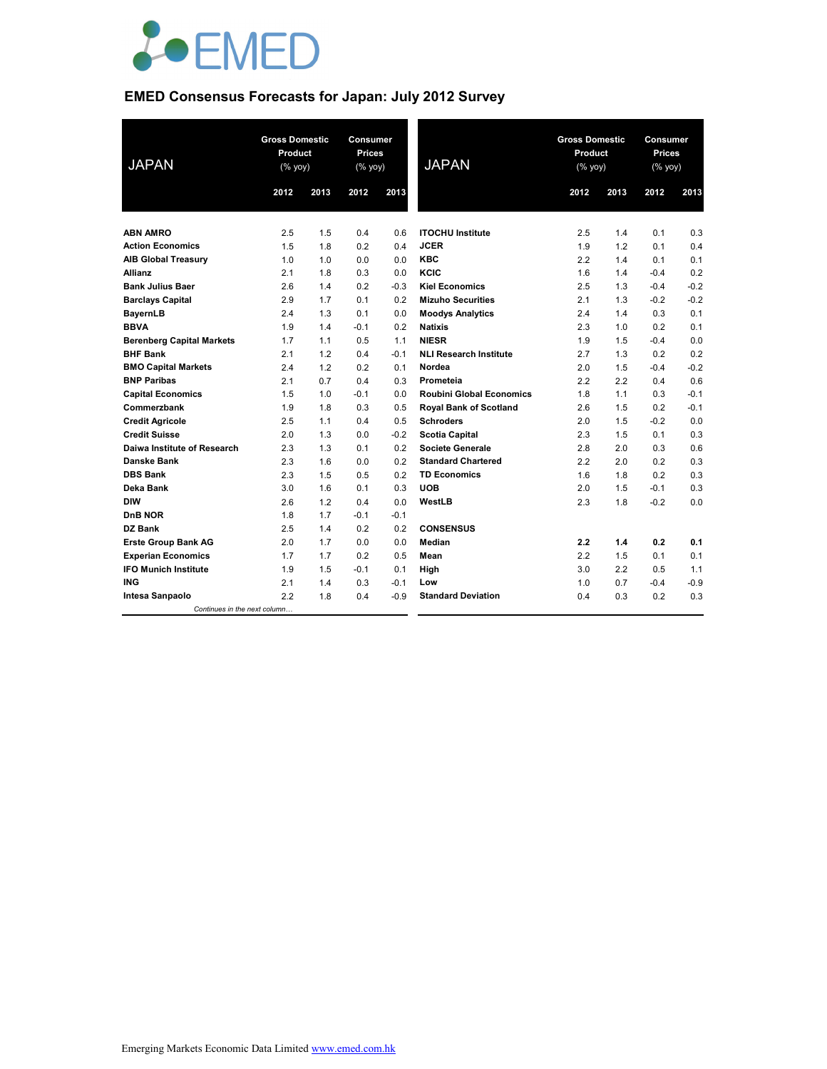

# **EMED Consensus Forecasts for Japan: July 2012 Survey**

| <b>JAPAN</b>                     | <b>Gross Domestic</b><br>Product<br>(% yoy) |      | Consumer<br><b>Prices</b><br>(% yoy) |        | <b>JAPAN</b>                    | <b>Gross Domestic</b><br>Product<br>$(% \mathsf{Y}^{\prime }\mathsf{Y}^{\prime }\mathsf{Y}^{\prime })$ |      | Consumer<br><b>Prices</b><br>(% yoy) |        |
|----------------------------------|---------------------------------------------|------|--------------------------------------|--------|---------------------------------|--------------------------------------------------------------------------------------------------------|------|--------------------------------------|--------|
|                                  | 2012                                        | 2013 | 2012                                 | 2013   |                                 | 2012                                                                                                   | 2013 | 2012                                 | 2013   |
|                                  |                                             |      |                                      |        |                                 |                                                                                                        |      |                                      |        |
| <b>ABN AMRO</b>                  | 2.5                                         | 1.5  | 0.4                                  | 0.6    | <b>ITOCHU Institute</b>         | 2.5                                                                                                    | 1.4  | 0.1                                  | 0.3    |
| <b>Action Economics</b>          | 1.5                                         | 1.8  | 0.2                                  | 0.4    | <b>JCER</b>                     | 1.9                                                                                                    | 1.2  | 0.1                                  | 0.4    |
| <b>AIB Global Treasury</b>       | 1.0                                         | 1.0  | 0.0                                  | 0.0    | <b>KBC</b>                      | 2.2                                                                                                    | 1.4  | 0.1                                  | 0.1    |
| <b>Allianz</b>                   | 2.1                                         | 1.8  | 0.3                                  | 0.0    | KCIC                            | 1.6                                                                                                    | 1.4  | $-0.4$                               | 0.2    |
| <b>Bank Julius Baer</b>          | 2.6                                         | 1.4  | 0.2                                  | $-0.3$ | <b>Kiel Economics</b>           | 2.5                                                                                                    | 1.3  | $-0.4$                               | $-0.2$ |
| <b>Barclays Capital</b>          | 2.9                                         | 1.7  | 0.1                                  | 0.2    | <b>Mizuho Securities</b>        | 2.1                                                                                                    | 1.3  | $-0.2$                               | $-0.2$ |
| <b>BayernLB</b>                  | 2.4                                         | 1.3  | 0.1                                  | 0.0    | <b>Moodys Analytics</b>         | 2.4                                                                                                    | 1.4  | 0.3                                  | 0.1    |
| <b>BBVA</b>                      | 1.9                                         | 1.4  | $-0.1$                               | 0.2    | <b>Natixis</b>                  | 2.3                                                                                                    | 1.0  | 0.2                                  | 0.1    |
| <b>Berenberg Capital Markets</b> | 1.7                                         | 1.1  | 0.5                                  | 1.1    | <b>NIESR</b>                    | 1.9                                                                                                    | 1.5  | $-0.4$                               | 0.0    |
| <b>BHF Bank</b>                  | 2.1                                         | 1.2  | 0.4                                  | $-0.1$ | <b>NLI Research Institute</b>   | 2.7                                                                                                    | 1.3  | 0.2                                  | 0.2    |
| <b>BMO Capital Markets</b>       | 2.4                                         | 1.2  | 0.2                                  | 0.1    | Nordea                          | 2.0                                                                                                    | 1.5  | $-0.4$                               | $-0.2$ |
| <b>BNP Paribas</b>               | 2.1                                         | 0.7  | 0.4                                  | 0.3    | Prometeia                       | 2.2                                                                                                    | 2.2  | 0.4                                  | 0.6    |
| <b>Capital Economics</b>         | 1.5                                         | 1.0  | $-0.1$                               | 0.0    | <b>Roubini Global Economics</b> | 1.8                                                                                                    | 1.1  | 0.3                                  | $-0.1$ |
| Commerzbank                      | 1.9                                         | 1.8  | 0.3                                  | 0.5    | Royal Bank of Scotland          | 2.6                                                                                                    | 1.5  | 0.2                                  | $-0.1$ |
| <b>Credit Agricole</b>           | 2.5                                         | 1.1  | 0.4                                  | 0.5    | <b>Schroders</b>                | 2.0                                                                                                    | 1.5  | $-0.2$                               | 0.0    |
| <b>Credit Suisse</b>             | 2.0                                         | 1.3  | 0.0                                  | $-0.2$ | <b>Scotia Capital</b>           | 2.3                                                                                                    | 1.5  | 0.1                                  | 0.3    |
| Daiwa Institute of Research      | 2.3                                         | 1.3  | 0.1                                  | 0.2    | <b>Societe Generale</b>         | 2.8                                                                                                    | 2.0  | 0.3                                  | 0.6    |
| <b>Danske Bank</b>               | 2.3                                         | 1.6  | 0.0                                  | 0.2    | <b>Standard Chartered</b>       | 2.2                                                                                                    | 2.0  | 0.2                                  | 0.3    |
| <b>DBS Bank</b>                  | 2.3                                         | 1.5  | 0.5                                  | 0.2    | <b>TD Economics</b>             | 1.6                                                                                                    | 1.8  | 0.2                                  | 0.3    |
| Deka Bank                        | 3.0                                         | 1.6  | 0.1                                  | 0.3    | <b>UOB</b>                      | 2.0                                                                                                    | 1.5  | $-0.1$                               | 0.3    |
| <b>DIW</b>                       | 2.6                                         | 1.2  | 0.4                                  | 0.0    | WestLB                          | 2.3                                                                                                    | 1.8  | $-0.2$                               | 0.0    |
| <b>DnB NOR</b>                   | 1.8                                         | 1.7  | $-0.1$                               | $-0.1$ |                                 |                                                                                                        |      |                                      |        |
| DZ Bank                          | 2.5                                         | 1.4  | 0.2                                  | 0.2    | <b>CONSENSUS</b>                |                                                                                                        |      |                                      |        |
| <b>Erste Group Bank AG</b>       | 2.0                                         | 1.7  | 0.0                                  | 0.0    | Median                          | 2.2                                                                                                    | 1.4  | 0.2                                  | 0.1    |
| <b>Experian Economics</b>        | 1.7                                         | 1.7  | 0.2                                  | 0.5    | Mean                            | 2.2                                                                                                    | 1.5  | 0.1                                  | 0.1    |
| <b>IFO Munich Institute</b>      | 1.9                                         | 1.5  | $-0.1$                               | 0.1    | High                            | 3.0                                                                                                    | 2.2  | 0.5                                  | 1.1    |
| ING                              | 2.1                                         | 1.4  | 0.3                                  | $-0.1$ | Low                             | 1.0                                                                                                    | 0.7  | $-0.4$                               | $-0.9$ |
| Intesa Sanpaolo                  | 2.2                                         | 1.8  | 0.4                                  | $-0.9$ | <b>Standard Deviation</b>       | 0.4                                                                                                    | 0.3  | 0.2                                  | 0.3    |
| Continues in the next column     |                                             |      |                                      |        |                                 |                                                                                                        |      |                                      |        |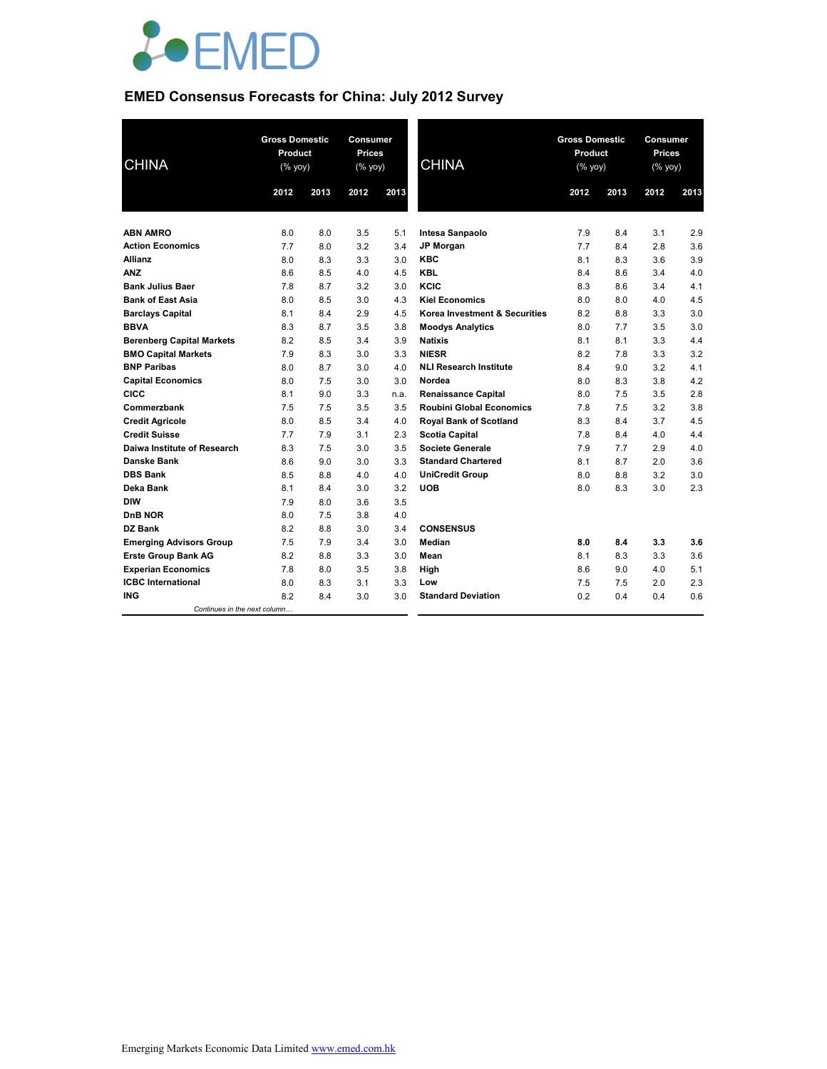

# **EMED Consensus Forecasts for China: July 2012 Survey**

| <b>CHINA</b>                     |      | <b>Gross Domestic</b><br>Product<br>$(% \mathsf{Y}^{\prime }\mathsf{Y}^{\prime }\mathsf{Y}^{\prime })$ |      | Consumer<br><b>Prices</b><br>(% yoy) | <b>CHINA</b>                    | <b>Gross Domestic</b><br>Product<br>(% yoy) |      | Consumer<br><b>Prices</b><br>(% yoy) |      |
|----------------------------------|------|--------------------------------------------------------------------------------------------------------|------|--------------------------------------|---------------------------------|---------------------------------------------|------|--------------------------------------|------|
|                                  | 2012 | 2013                                                                                                   | 2012 | 2013                                 |                                 | 2012                                        | 2013 | 2012                                 | 2013 |
|                                  |      |                                                                                                        |      |                                      |                                 |                                             |      |                                      |      |
| <b>ABN AMRO</b>                  | 8.0  | 8.0                                                                                                    | 3.5  | 5.1                                  | Intesa Sanpaolo                 | 7.9                                         | 8.4  | 3.1                                  | 2.9  |
| <b>Action Economics</b>          | 7.7  | 8.0                                                                                                    | 3.2  | 3.4                                  | <b>JP Morgan</b>                | 7.7                                         | 8.4  | 2.8                                  | 3.6  |
| <b>Allianz</b>                   | 8.0  | 8.3                                                                                                    | 3.3  | 3.0                                  | <b>KBC</b>                      | 8.1                                         | 8.3  | 3.6                                  | 3.9  |
| <b>ANZ</b>                       | 8.6  | 8.5                                                                                                    | 4.0  | 4.5                                  | <b>KBL</b>                      | 8.4                                         | 8.6  | 3.4                                  | 4.0  |
| <b>Bank Julius Baer</b>          | 7.8  | 8.7                                                                                                    | 3.2  | 3.0                                  | KCIC                            | 8.3                                         | 8.6  | 3.4                                  | 4.1  |
| <b>Bank of East Asia</b>         | 8.0  | 8.5                                                                                                    | 3.0  | 4.3                                  | <b>Kiel Economics</b>           | 8.0                                         | 8.0  | 4.0                                  | 4.5  |
| <b>Barclays Capital</b>          | 8.1  | 8.4                                                                                                    | 2.9  | 4.5                                  | Korea Investment & Securities   | 8.2                                         | 8.8  | 3.3                                  | 3.0  |
| <b>BBVA</b>                      | 8.3  | 8.7                                                                                                    | 3.5  | 3.8                                  | <b>Moodys Analytics</b>         | 8.0                                         | 7.7  | 3.5                                  | 3.0  |
| <b>Berenberg Capital Markets</b> | 8.2  | 8.5                                                                                                    | 3.4  | 3.9                                  | <b>Natixis</b>                  | 8.1                                         | 8.1  | 3.3                                  | 4.4  |
| <b>BMO Capital Markets</b>       | 7.9  | 8.3                                                                                                    | 3.0  | 3.3                                  | <b>NIESR</b>                    | 8.2                                         | 7.8  | 3.3                                  | 3.2  |
| <b>BNP Paribas</b>               | 8.0  | 8.7                                                                                                    | 3.0  | 4.0                                  | <b>NLI Research Institute</b>   | 8.4                                         | 9.0  | 3.2                                  | 4.1  |
| <b>Capital Economics</b>         | 8.0  | 7.5                                                                                                    | 3.0  | 3.0                                  | Nordea                          | 8.0                                         | 8.3  | 3.8                                  | 4.2  |
| <b>CICC</b>                      | 8.1  | 9.0                                                                                                    | 3.3  | n.a.                                 | <b>Renaissance Capital</b>      | 8.0                                         | 7.5  | 3.5                                  | 2.8  |
| Commerzbank                      | 7.5  | 7.5                                                                                                    | 3.5  | 3.5                                  | <b>Roubini Global Economics</b> | 7.8                                         | 7.5  | 3.2                                  | 3.8  |
| <b>Credit Agricole</b>           | 8.0  | 8.5                                                                                                    | 3.4  | 4.0                                  | <b>Royal Bank of Scotland</b>   | 8.3                                         | 8.4  | 3.7                                  | 4.5  |
| <b>Credit Suisse</b>             | 7.7  | 7.9                                                                                                    | 3.1  | 2.3                                  | <b>Scotia Capital</b>           | 7.8                                         | 8.4  | 4.0                                  | 4.4  |
| Daiwa Institute of Research      | 8.3  | 7.5                                                                                                    | 3.0  | 3.5                                  | <b>Societe Generale</b>         | 7.9                                         | 7.7  | 2.9                                  | 4.0  |
| Danske Bank                      | 8.6  | 9.0                                                                                                    | 3.0  | 3.3                                  | <b>Standard Chartered</b>       | 8.1                                         | 8.7  | 2.0                                  | 3.6  |
| <b>DBS Bank</b>                  | 8.5  | 8.8                                                                                                    | 4.0  | 4.0                                  | <b>UniCredit Group</b>          | 8.0                                         | 8.8  | 3.2                                  | 3.0  |
| Deka Bank                        | 8.1  | 8.4                                                                                                    | 3.0  | 3.2                                  | <b>UOB</b>                      | 8.0                                         | 8.3  | 3.0                                  | 2.3  |
| <b>DIW</b>                       | 7.9  | 8.0                                                                                                    | 3.6  | 3.5                                  |                                 |                                             |      |                                      |      |
| <b>DnB NOR</b>                   | 8.0  | 7.5                                                                                                    | 3.8  | 4.0                                  |                                 |                                             |      |                                      |      |
| DZ Bank                          | 8.2  | 8.8                                                                                                    | 3.0  | 3.4                                  | <b>CONSENSUS</b>                |                                             |      |                                      |      |
| <b>Emerging Advisors Group</b>   | 7.5  | 7.9                                                                                                    | 3.4  | 3.0                                  | Median                          | 8.0                                         | 8.4  | 3.3                                  | 3.6  |
| <b>Erste Group Bank AG</b>       | 8.2  | 8.8                                                                                                    | 3.3  | 3.0                                  | Mean                            | 8.1                                         | 8.3  | 3.3                                  | 3.6  |
| <b>Experian Economics</b>        | 7.8  | 8.0                                                                                                    | 3.5  | 3.8                                  | High                            | 8.6                                         | 9.0  | 4.0                                  | 5.1  |
| <b>ICBC</b> International        | 8.0  | 8.3                                                                                                    | 3.1  | 3.3                                  | Low                             | 7.5                                         | 7.5  | 2.0                                  | 2.3  |
| ING                              | 8.2  | 8.4                                                                                                    | 3.0  | 3.0                                  | <b>Standard Deviation</b>       | 0.2                                         | 0.4  | 0.4                                  | 0.6  |
| Continues in the next column     |      |                                                                                                        |      |                                      |                                 |                                             |      |                                      |      |